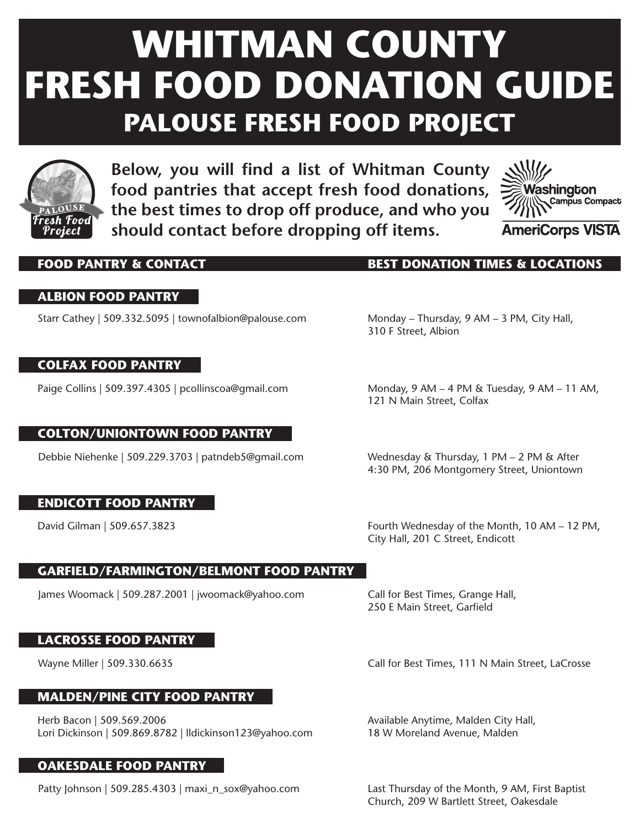# **WHITMAN COUNTY FRESH FOOD DONATION GUIDE PALOUSE FRESH FOOD PROJECT**



**Below, you will find a list of Whitman County food pantries that accept fresh food donations, the best times to drop off produce, and who you should contact before dropping off items.**



### **ALBION FOOD PANTRY**

Starr Cathey | 509.332.5095 | townofalbion@palouse.com

### **COLFAX FOOD PANTRY**

Paige Collins | 509.397.4305 | pcollinscoa@gmail.com

### **COLTON/UNIONTOWN FOOD PANTRY**

Debbie Niehenke | 509.229.3703 | patndeb5@gmail.com

### **ENDICOTT FOOD PANTRY**

David Gilman | 509.657.3823

### **GARFIELD/FARMINGTON/BELMONT FOOD PANTRY**

James Woomack | 509.287.2001 | jwoomack@yahoo.com

### **LACROSSE FOOD PANTRY**

### **MALDEN/PINE CITY FOOD PANTRY**

Herb Bacon | 509.569.2006 Lori Dickinson | 509.869.8782 | lldickinson123@yahoo.com

### **OAKESDALE FOOD PANTRY**

Patty Johnson | 509.285.4303 | maxi\_n\_sox@yahoo.com

**FOOD PANTRY & CONTACT BEST DONATION TIMES & LOCATIONS**

Monday – Thursday, 9 AM – 3 PM, City Hall, 310 F Street, Albion

Monday, 9 AM – 4 PM & Tuesday, 9 AM – 11 AM, 121 N Main Street, Colfax

Wednesday & Thursday, 1 PM – 2 PM & After 4:30 PM, 206 Montgomery Street, Uniontown

Fourth Wednesday of the Month, 10 AM – 12 PM, City Hall, 201 C Street, Endicott

Call for Best Times, Grange Hall, 250 E Main Street, Garfield

Wayne Miller | 509.330.6635 Call for Best Times, 111 N Main Street, LaCrosse

Available Anytime, Malden City Hall, 18 W Moreland Avenue, Malden

Last Thursday of the Month, 9 AM, First Baptist Church, 209 W Bartlett Street, Oakesdale